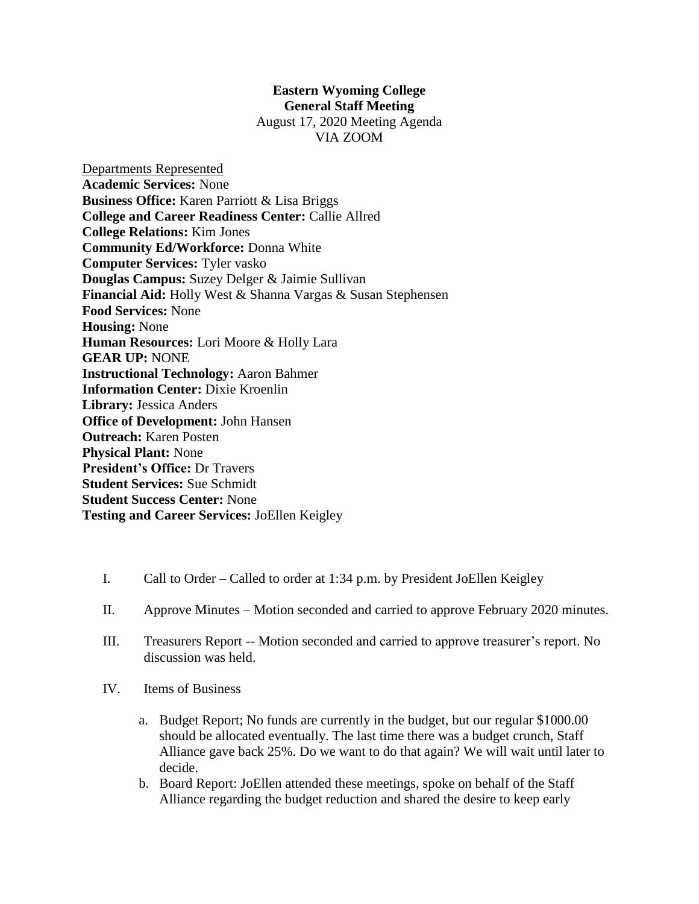## **Eastern Wyoming College General Staff Meeting**

August 17, 2020 Meeting Agenda VIA ZOOM

Departments Represented **Academic Services:** None **Business Office:** Karen Parriott & Lisa Briggs **College and Career Readiness Center:** Callie Allred **College Relations:** Kim Jones **Community Ed/Workforce:** Donna White **Computer Services:** Tyler vasko **Douglas Campus:** Suzey Delger & Jaimie Sullivan **Financial Aid:** Holly West & Shanna Vargas & Susan Stephensen **Food Services:** None **Housing:** None **Human Resources:** Lori Moore & Holly Lara **GEAR UP:** NONE **Instructional Technology:** Aaron Bahmer **Information Center:** Dixie Kroenlin **Library:** Jessica Anders **Office of Development:** John Hansen **Outreach:** Karen Posten **Physical Plant:** None **President's Office:** Dr Travers **Student Services:** Sue Schmidt **Student Success Center:** None **Testing and Career Services:** JoEllen Keigley

- I. Call to Order Called to order at 1:34 p.m. by President JoEllen Keigley
- II. Approve Minutes Motion seconded and carried to approve February 2020 minutes.
- III. Treasurers Report -- Motion seconded and carried to approve treasurer's report. No discussion was held.
- IV. Items of Business
	- a. Budget Report; No funds are currently in the budget, but our regular \$1000.00 should be allocated eventually. The last time there was a budget crunch, Staff Alliance gave back 25%. Do we want to do that again? We will wait until later to decide.
	- b. Board Report: JoEllen attended these meetings, spoke on behalf of the Staff Alliance regarding the budget reduction and shared the desire to keep early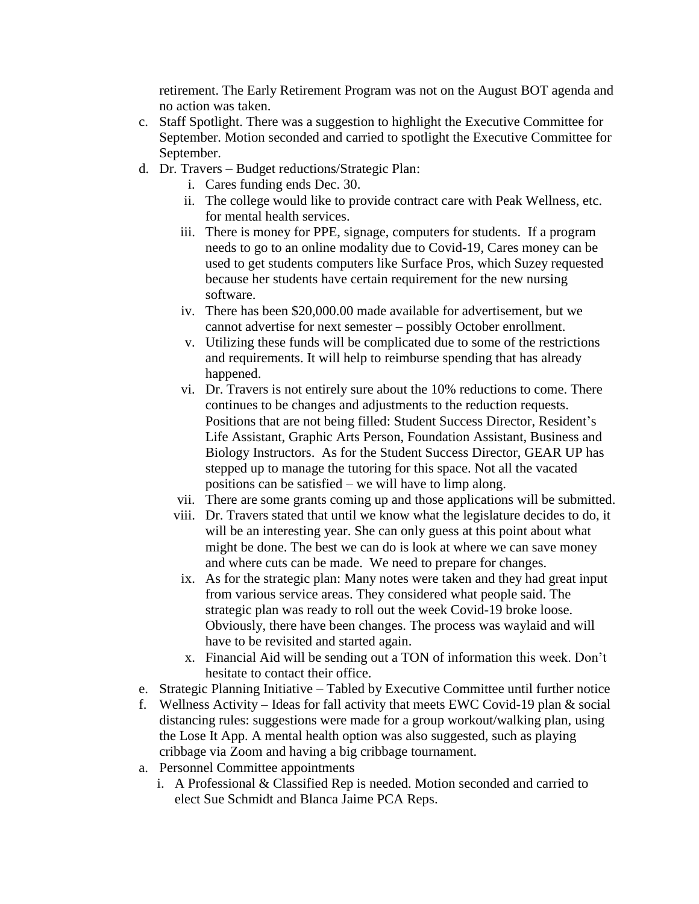retirement. The Early Retirement Program was not on the August BOT agenda and no action was taken.

- c. Staff Spotlight. There was a suggestion to highlight the Executive Committee for September. Motion seconded and carried to spotlight the Executive Committee for September.
- d. Dr. Travers Budget reductions/Strategic Plan:
	- i. Cares funding ends Dec. 30.
	- ii. The college would like to provide contract care with Peak Wellness, etc. for mental health services.
	- iii. There is money for PPE, signage, computers for students. If a program needs to go to an online modality due to Covid-19, Cares money can be used to get students computers like Surface Pros, which Suzey requested because her students have certain requirement for the new nursing software.
	- iv. There has been \$20,000.00 made available for advertisement, but we cannot advertise for next semester – possibly October enrollment.
	- v. Utilizing these funds will be complicated due to some of the restrictions and requirements. It will help to reimburse spending that has already happened.
	- vi. Dr. Travers is not entirely sure about the 10% reductions to come. There continues to be changes and adjustments to the reduction requests. Positions that are not being filled: Student Success Director, Resident's Life Assistant, Graphic Arts Person, Foundation Assistant, Business and Biology Instructors. As for the Student Success Director, GEAR UP has stepped up to manage the tutoring for this space. Not all the vacated positions can be satisfied – we will have to limp along.
	- vii. There are some grants coming up and those applications will be submitted.
	- viii. Dr. Travers stated that until we know what the legislature decides to do, it will be an interesting year. She can only guess at this point about what might be done. The best we can do is look at where we can save money and where cuts can be made. We need to prepare for changes.
	- ix. As for the strategic plan: Many notes were taken and they had great input from various service areas. They considered what people said. The strategic plan was ready to roll out the week Covid-19 broke loose. Obviously, there have been changes. The process was waylaid and will have to be revisited and started again.
	- x. Financial Aid will be sending out a TON of information this week. Don't hesitate to contact their office.
- e. Strategic Planning Initiative Tabled by Executive Committee until further notice
- f. Wellness Activity Ideas for fall activity that meets EWC Covid-19 plan  $&$  social distancing rules: suggestions were made for a group workout/walking plan, using the Lose It App. A mental health option was also suggested, such as playing cribbage via Zoom and having a big cribbage tournament.
- a. Personnel Committee appointments
	- i. A Professional & Classified Rep is needed. Motion seconded and carried to elect Sue Schmidt and Blanca Jaime PCA Reps.